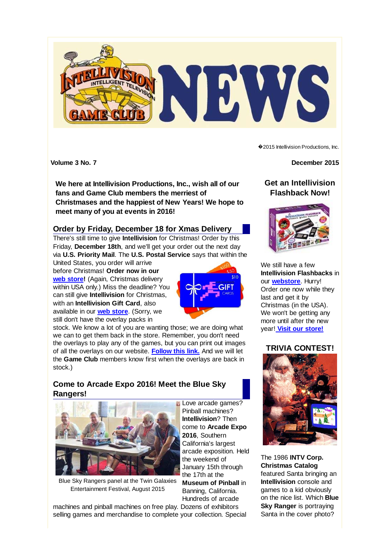

**We here at Intellivision Productions, Inc., wish all of our fans and Game Club members the merriest of Christmases and the happiest of New Years! We hope to meet many of you at events in 2016!**

### **Order by Friday, December 18 for Xmas Delivery**

There's still time to give **Intellivision** for Christmas! Order by this Friday, **December 18th**, and we'll get your order out the next day via **U.S. Priority Mail**. The **U.S. Postal Service** says that within the

United States, you order will arrive before Christmas! **Order now in our web store!** (Again, Christmas delivery within USA only.) Miss the deadline? You can still give **Intellivision** for Christmas, with an **Intellivision Gift Card**, also available in our **web store**. (Sorry, we still don't have the overlay packs in



stock. We know a lot of you are wanting those; we are doing what we can to get them back in the store. Remember, you don't need the overlays to play any of the games, but you can print out images of all the overlays on our website. **Follow this link.** And we will let the **Game Club** members know first when the overlays are back in stock.)

# **Come to Arcade Expo 2016! Meet the Blue Sky Rangers!**



Blue Sky Rangers panel at the Twin Galaxies Entertainment Festival, August 2015

Love arcade games? Pinball machines? **Intellivision**? Then come to **Arcade Expo 2016**, Southern California's largest arcade exposition. Held the weekend of January 15th through the 17th at the **Museum of Pinball** in

Banning, California. Hundreds of arcade

machines and pinball machines on free play. Dozens of exhibitors selling games and merchandise to complete your collection. Special ◆2015 Intellivision Productions, Inc.

**Volume 3 No. 7 December 2015** 

## **Get an Intellivision Flashback Now!**



We still have a few **Intellivision Flashbacks** in our **webstore**. Hurry! Order one now while they last and get it by Christmas (in the USA). We won't be getting any more until after the new year! **Visit our store!**

# **TRIVIA CONTEST!**



The 1986 **INTV Corp. Christmas Catalog** featured Santa bringing an **Intellivision** console and games to a kid obviously on the nice list. Which **Blue Sky Ranger** is portraying Santa in the cover photo?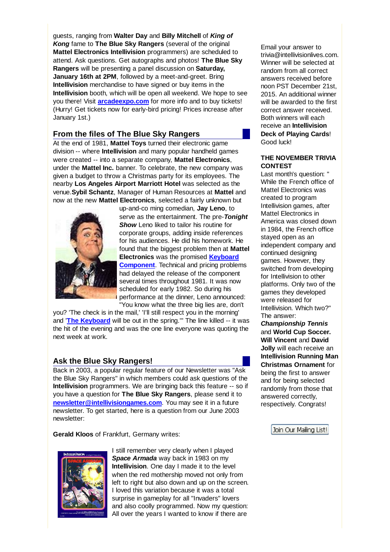guests, ranging from **Walter Day** and **Billy Mitchell** of *King of Kong* fame to **The Blue Sky Rangers** (several of the original **Mattel Electronics Intellivision** programmers) are scheduled to attend. Ask questions. Get autographs and photos! **The Blue Sky Rangers** will be presenting a panel discussion on **Saturday, January 16th at 2PM**, followed by a meet-and-greet. Bring **Intellivision** merchandise to have signed or buy items in the **Intellivision** booth, which will be open all weekend. We hope to see you there! Visit **arcadeexpo.com** for more info and to buy tickets! (Hurry! Get tickets now for early-bird pricing! Prices increase after January 1st.)

### **From the files of The Blue Sky Rangers**

At the end of 1981, **Mattel Toys** turned their electronic game division -- where **Intellivision** and many popular handheld games were created -- into a separate company, **Mattel Electronics**, under the **Mattel Inc.** banner. To celebrate, the new company was given a budget to throw a Christmas party for its employees. The nearby **Los Angeles Airport Marriott Hotel** was selected as the venue.**Sybil Schantz**, Manager of Human Resources at **Mattel** and now at the new **Mattel Electronics**, selected a fairly unknown but



up-and-co ming comedian, **Jay Leno**, to serve as the entertainment. The pre-*Tonight* **Show** Leno liked to tailor his routine for corporate groups, adding inside references for his audiences. He did his homework. He found that the biggest problem then at **Mattel Electronics** was the promised **Keyboard Component**. Technical and pricing problems had delayed the release of the component several times throughout 1981. It was now scheduled for early 1982. So during his performance at the dinner, Leno announced: "You know what the three big lies are, don't

you? 'The check is in the mail,' 'I'll still respect you in the morning' and '**The Keyboard** will be out in the spring.'" The line killed -- it was the hit of the evening and was the one line everyone was quoting the next week at work.

#### **Ask the Blue Sky Rangers!**

Back in 2003, a popular regular feature of our Newsletter was "Ask the Blue Sky Rangers" in which members could ask questions of the **Intellivision** programmers. We are bringing back this feature -- so if you have a question for **The Blue Sky Rangers**, please send it to **newsletter@intellivisiongames.com**. You may see it in a future newsletter. To get started, here is a question from our June 2003 newsletter:

**Gerald Kloos** of Frankfurt, Germany writes:



I still remember very clearly when I played *Space Armada* way back in 1983 on my **Intellivision**. One day I made it to the level when the red mothership moved not only from left to right but also down and up on the screen. I loved this variation because it was a total surprise in gameplay for all "Invaders" lovers and also coolly programmed. Now my question: All over the years I wanted to know if there are

Email your answer to trivia@intellivisionlives.com. Winner will be selected at random from all correct answers received before noon PST December 21st, 2015. An additional winner will be awarded to the first correct answer received. Both winners will each receive an **Intellivision Deck of Playing Cards**! Good luck!

#### **THE NOVEMBER TRIVIA CONTEST**

Last month's question: " While the French office of Mattel Electronics was created to program Intellivision games, after Mattel Electronics in America was closed down in 1984, the French office stayed open as an independent company and continued designing games. However, they switched from developing for Intellivision to other platforms. Only two of the games they developed were released for Intellivision. Which two?" The answer:

*Championship Tennis* and **World Cup Soccer. Will Vincent** and **David Jolly** will each receive an **Intellivision Running Man Christmas Ornament** for being the first to answer and for being selected randomly from those that answered correctly, respectively. Congrats!

Join Our Mailing List!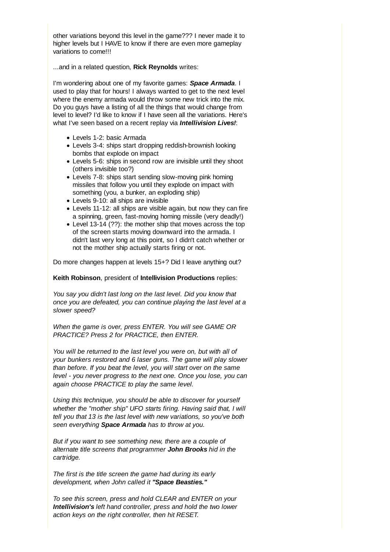other variations beyond this level in the game??? I never made it to higher levels but I HAVE to know if there are even more gameplay variations to come!!!

...and in a related question, **Rick Reynolds** writes:

I'm wondering about one of my favorite games: *Space Armada*. I used to play that for hours! I always wanted to get to the next level where the enemy armada would throw some new trick into the mix. Do you guys have a listing of all the things that would change from level to level? I'd like to know if I have seen all the variations. Here's what I've seen based on a recent replay via *Intellivision Lives!*:

- Levels 1-2: basic Armada
- Levels 3-4: ships start dropping reddish-brownish looking bombs that explode on impact
- Levels 5-6: ships in second row are invisible until they shoot (others invisible too?)
- Levels 7-8: ships start sending slow-moving pink homing missiles that follow you until they explode on impact with something (you, a bunker, an exploding ship)
- Levels 9-10: all ships are invisible
- Levels 11-12: all ships are visible again, but now they can fire a spinning, green, fast-moving homing missile (very deadly!)
- Level 13-14 (??): the mother ship that moves across the top of the screen starts moving downward into the armada. I didn't last very long at this point, so I didn't catch whether or not the mother ship actually starts firing or not.

Do more changes happen at levels 15+? Did I leave anything out?

#### **Keith Robinson**, president of **Intellivision Productions** replies:

*You say you didn't last long on the last level. Did you know that once you are defeated, you can continue playing the last level at a slower speed?*

*When the game is over, press ENTER. You will see GAME OR PRACTICE? Press 2 for PRACTICE, then ENTER.*

*You will be returned to the last level you were on, but with all of your bunkers restored and 6 laser guns. The game will play slower than before. If you beat the level, you will start over on the same level - you never progress to the next one. Once you lose, you can again choose PRACTICE to play the same level.*

*Using this technique, you should be able to discover for yourself whether the "mother ship" UFO starts firing. Having said that, I will tell you that 13 is the last level with new variations, so you've both seen everything Space Armada has to throw at you.*

*But if you want to see something new, there are a couple of alternate title screens that programmer John Brooks hid in the cartridge.*

*The first is the title screen the game had during its early development, when John called it "Space Beasties."*

*To see this screen, press and hold CLEAR and ENTER on your Intellivision's left hand controller, press and hold the two lower action keys on the right controller, then hit RESET.*